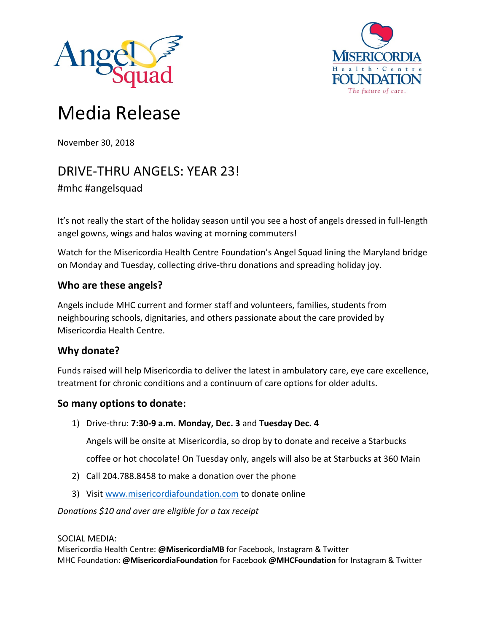



# Media Release

November 30, 2018

# DRIVE-THRU ANGELS: YEAR 23!

#mhc #angelsquad

It's not really the start of the holiday season until you see a host of angels dressed in full-length angel gowns, wings and halos waving at morning commuters!

Watch for the Misericordia Health Centre Foundation's Angel Squad lining the Maryland bridge on Monday and Tuesday, collecting drive-thru donations and spreading holiday joy.

### **Who are these angels?**

Angels include MHC current and former staff and volunteers, families, students from neighbouring schools, dignitaries, and others passionate about the care provided by Misericordia Health Centre.

#### **Why donate?**

Funds raised will help Misericordia to deliver the latest in ambulatory care, eye care excellence, treatment for chronic conditions and a continuum of care options for older adults.

## **So many options to donate:**

1) Drive-thru: **7:30-9 a.m. Monday, Dec. 3** and **Tuesday Dec. 4**

Angels will be onsite at Misericordia, so drop by to donate and receive a Starbucks coffee or hot chocolate! On Tuesday only, angels will also be at Starbucks at 360 Main

- 2) Call 204.788.8458 to make a donation over the phone
- 3) Visi[t www.misericordiafoundation.com](http://www.misericordiafoundation.com/) to donate online

*Donations \$10 and over are eligible for a tax receipt*

#### SOCIAL MEDIA:

Misericordia Health Centre: **@MisericordiaMB** for Facebook, Instagram & Twitter MHC Foundation: **@MisericordiaFoundation** for Facebook **@MHCFoundation** for Instagram & Twitter